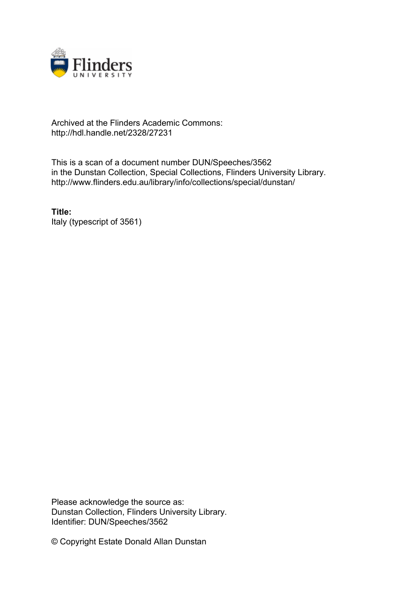

## Archived at the Flinders Academic Commons: http://hdl.handle.net/2328/27231

This is a scan of a document number DUN/Speeches/3562 in the Dunstan Collection, Special Collections, Flinders University Library. http://www.flinders.edu.au/library/info/collections/special/dunstan/

**Title:** Italy (typescript of 3561)

Please acknowledge the source as: Dunstan Collection, Flinders University Library. Identifier: DUN/Speeches/3562

© Copyright Estate Donald Allan Dunstan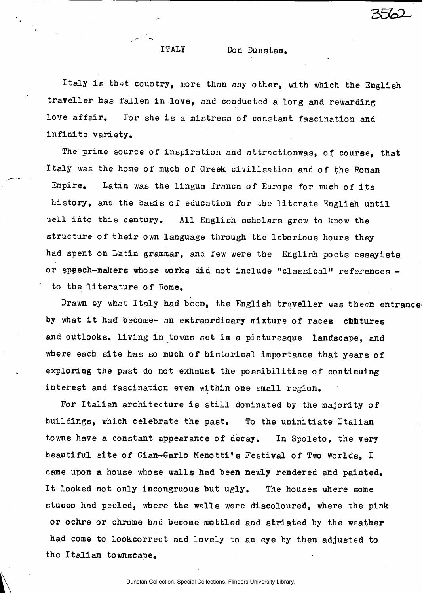## ITALY Don Dunstan.

Italy is that country, more than any other, with which the English traveller has fallen in love, and conducted a long and rewarding love affair. For she is a mistress of constant fascination and infinite variety.

The prime source of inspiration and attractionwas, of course, that Italy was the home of much of Greek civilisation and of the Roman Empire. Latin was the lingua franca of Europe for much of its history, and the basis of education for the literate English until well into this century. All English scholars grew to know the structure of their own language through the laborious hours they had spent on Latin grammar, and few were the English poets essayists or speech-makers whose works did not include "classical" references to the literature of Rome.

Drawn by what Italy had been, the English traveller was theen entrance by what it had become- an extraordinary mixture of races cultures and outlooks. living in towns set in a picture sque landscape, and where each site has so much of historical importance that years of exploring the past do not exhaust the possibilities of continuing interest and fascination even within one small region.

For Italian architecture is still dominated by the majority of buildings, which celebrate the past. To the uninitiate Italian towns have a constant appearance of decay. In Spoleto, the very beautiful site of Gian-Sarlo Menotti's Festival of Two Worlds. I came upon a house whose walls had been newly rendered and painted. It looked not only incongruous but ugly. The houses where some stucco had peeled, where the walls were discoloured, where the pink or ochre or chrome had become mattled and striated by the weather had come to lookcorrect and lovely to an eye by then adjusted to the Italian to wnscape.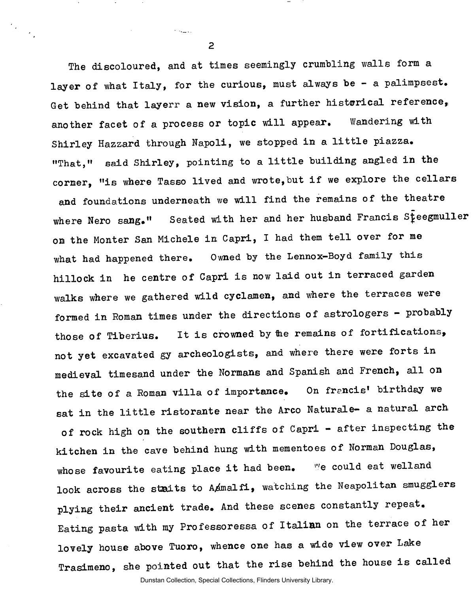The discoloured, and at times seemingly crumbling walls form a layer of what Italy, for the curious, must always be - a palimpsest. Get behind that layerr a new vision, a further historical reference, another facet of a process or topic will appear. Wandering with Shirley Hazzard through Napoli, we stopped in a little piazza. "That," said Shirley, pointing to a little building angled in the corner, "is where Tasso lived and wrote, but if we explore the cellars and foundations underneath we will find the remains of the theatre where Nero sang." Seated with her and her husband Francis Steegmuller on the Monter San Michele in Capri, I had them tell over for me what had happened there. Owned by the Lennox-Boyd family this hillock in he centre of Capri is now laid out in terraced garden walks where we gathered wild cyclamen, and where the terraces were formed in Roman times under the directions of astrologers - probably those of Tiberius. It is crowned by the remains of fortifications, not yet excavated gy archeologists, and where there were forts in medieval timesand under the Normans and Spanish and French, all on the site of a Roman villa of importance. On francis' birthday we sat in the little ristorante near the Arco Naturale- a natural arch of rock high on the southern cliffs of Capri - after inspecting the kitchen in the cave behind hung with mementoes of Norman Douglas, whose favourite eating place it had been. We could eat welland look across the staits to AAmalfi, watching the Neapolitan smugglers plying their ancient trade. And these scenes constantly repeat. Eating pasta with my Professoressa of Italian on the terrace of her lovely house above Tuoro, whence one has a wide view over Lake Trasimeno, she pointed out that the rise behind the house is called

Dunstan Collection, Special Collections, Flinders University Library.

**2** 

المناسبة والمحال

 $\mathcal{C}_{\mathcal{A}^{\mathcal{A}}}$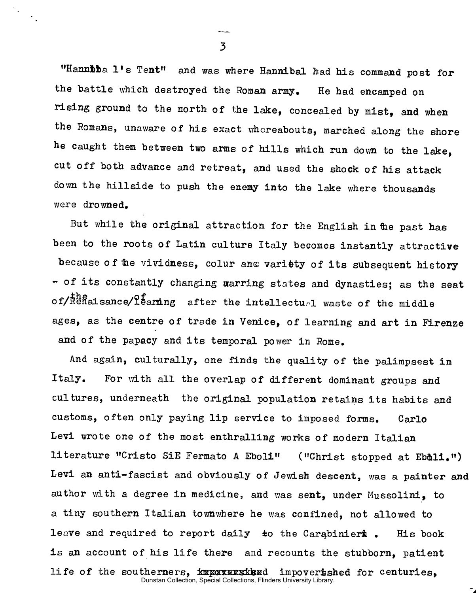"Hanniba l's Tent" and was where Hannibal had his command post for the battle which destroyed the Roman army. He had encamped on rising ground to the north of the lake, concealed by mist, and when the Romans, unaware of his exact whereabouts, marched along the shore he caught them between two arms of hills which run down to the lake, cut off both advance and retreat, and used the shock of his attack down the hillside to push the enemy into the lake where thousands were drowned.

But while the original attraction for the English in the past has been to the roots of Latin culture Italy becomes instantly attractive because of the vividness, colur and variety of its subsequent history - of its constantly changing warring states and dynasties; as the seat of/Renaisance/learning after the intellectual waste of the middle ages, as the centre of trade in Venice, of learning and art in Firenze and of the papacy and its temporal power in Rome.

And again, culturally, one finds the quality of the palimpsest in Italy. For with all the overlap of different dominant groups and cultures, underneath the original population retains its habits and customs, often only paying lip service to imposed forms. Carlo Levi wrote one of the most enthralling works of modern Italian literature "Cristo SiE Fermato A Eboli" ("Christ stopped at Eb&li.") Levi an anti-fascist and obviously of Jewish descent, was a painter and author with a degree in medicine, and was sent, under Mussolini, to a tiny southern Italian townwhere he was confined, not allowed to leave and required to report daily to the Carabinieri . His book is an account of his life there and recounts the stubborn, patient life of the southerners, imports imports imports to centuries, Dunstan Collection, Special Collections, Flinders University Library.

 $\overline{3}$ 

 $\mathcal{F}_{\mathbf{z}}$  .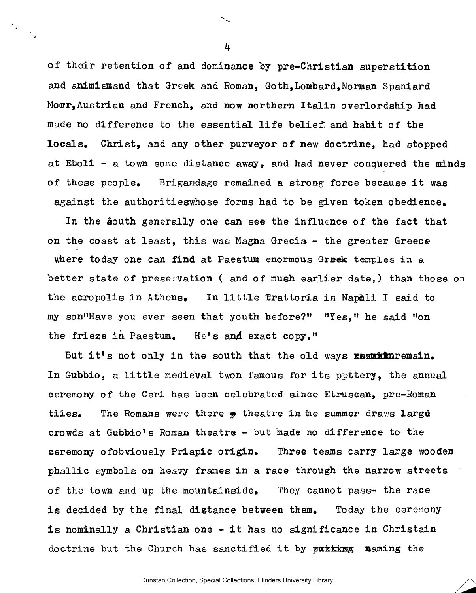of their retention of and dominance by pre-Christian superstition and animismand that Greek and Roman, Goth,Lombard,Norman Spaniard Moor, Austrian and French, and now northern Italin overlordship had made no difference to the essential life belief: and habit of the locals, Christ, and any other purveyor of new doctrine, had stopped at Eboli - a town some distance away, and had never conquered the minds of these people. Brigandage remained a strong force because it was against the authoritieswhose forms had to be given token obedience.

In the South generally one can see the influence of the fact that on the coast at least, this was Magna Grecia - the greater Greece where today one can find at Paestum enormous Greek temples in a better state of preservation ( and of mueh earlier date,) than those on the acropolis in Athens. In little Trattoria in Nap&li I said to my son"Have you ever seen that youth before?" "Yes," he said "on the frieze in Paestum. He's and exact copy."

But it's not only in the south that the old ways REANMANTEMAL. In Gubbio, a little medieval twon famous for its ppttery, the annual ceremony of the Ceri has been celebrated since Etruscan, pre-Roman tiies. The Romans were there  $\phi$  theatre in the summer draws large crowds at Gubbio's Roman theatre  $-$  but made no difference to the ceremony ofobviously Priapic origin. Three teams carry large wooden phallic symbols on heavy frames in a race through the narrow streets of the town and up the mountainside. They cannot pass- the race is decided by the final distance between them. Today the ceremony is nominally a Christian one - it has no significance in Christain doctrine but the Church has sanctified it by putting naming the

4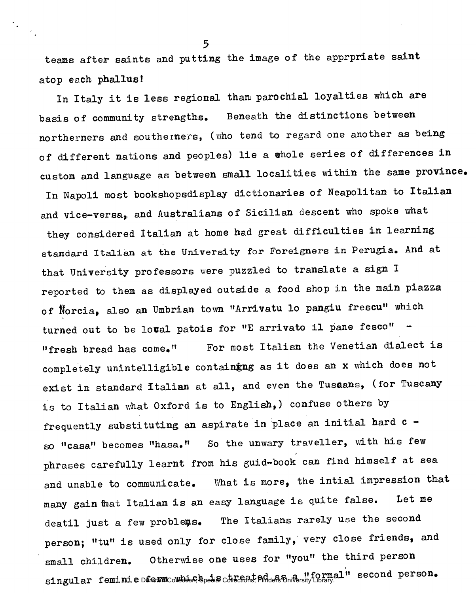teams after saints and putting the image of the apprpriate saint atop each phallus!

In Italy it is less regional than parochial loyalties which are basis of community strengths. Beneath the distinctions between northerners and southerners, (who tend to regard one another as being of different nations and peoples) lie a whole series of differences in custom and language as between small localities within the same province. In Napoli most bookshopsdisplay dictionaries of Neapolitan to Italian and vice-versa, and Australians of Sicilian descent who spoke what they considered Italian at home had great difficulties in learning standard Italian at the University for Foreigners in Perugia. And at that University professors were puzzled to translate a sign I reported to them as displayed outside a food shop in the main piazza of Norcia, also an Umbrian town "Arrivatu lo pangiu frescu" which turned out to be loval patois for "E arrivato il pane fesco" "fresh bread has come." For most Italisn the Venetian dialect is completely unintelligible containing as it does an x which does not exist in standard Italian at all, and even the Tuscans, (for Tuscany is to Italian what Oxford is to English,) confuse others by frequently substituting an aspirate in place an initial hard  $c$ so "casa" becomes "hasa." So the unwary traveller, with his few phrases carefully learnt from his guid-book can find himself at sea and unable to communicate. What is more, the intial impression that many gain that Italian is an easy language is quite false. Let me deatil just a few problems. The Italians rarely use the second person; "tu" is used only for close family, very close friends, and small children. Otherwise one uses for "you" the third person singular feminie for Dunstan m Collection, which Special is treate Collections, Flinders d as University a "formal Library. " second person.

**5** 

 $\mathcal{C}_{\bullet}$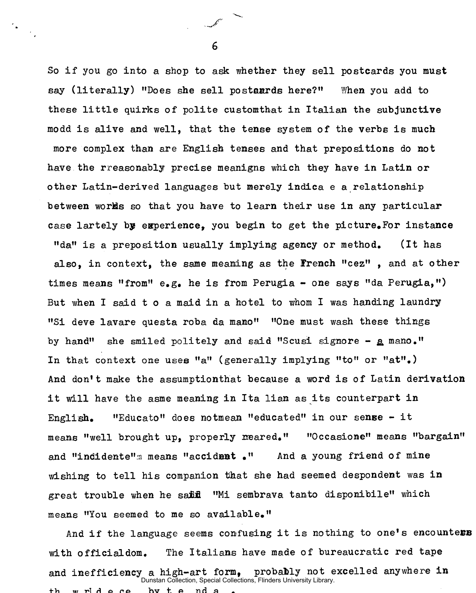So if you go into a shop to ask whether they sell postcards you must say (literally) "Does she sell postaards here?" When you add to these little quirks of polite customthat in Italian the subjunctive modd is alive and well, that the tense system of the verbs is much more complex than are English tenses and that prepositions do not have the rreasonably precise meanigns which they have in Latin or other Latin-derived languages but merely indica e a relationship between works so that you have to learn their use in any particular case lartely by experience, you begin to get the picture. For instance "da" is a preposition usually implying agency or method. (It has also, in context, the same meaning as the French "cez" , and at other times means "from"  $e_{\bullet}g_{\bullet}$  he is from Perugia - one says "da Perugia,") But when I said t o a maid in a hotel to whom I was handing laundry "Si deve lavare questa roba da mano" "One must wash these things by hand" she smiled politely and said "Scusi signore - a mano." In that context one uses "a" (generally implying "to" or "at".) And don't make the assumptionthat because a word is of Latin derivation it will have the asme meaning in Ita lian as its counterpart in English. "Educato" does notmean "educated" in our sense - it means "well brought up, properly meared." "Occasione" means "bargain" and "indidente" means "accident." And a young friend of mine wishing to tell his companion that she had seemed despondent was in great trouble when he saild "Mi sembrava tanto disponibile" which means "You seemed to me so available."

And if the language seems confusing it is nothing to one's encounters with officialdom. The Italians have made of bureaucratic red tape and inefficiency a high-art form, probably not excelled anywhere in th wride ce by tenda Dunstan Collection, Special Collections, Flinders University Library.

6

 $\mathbb{Z}^2$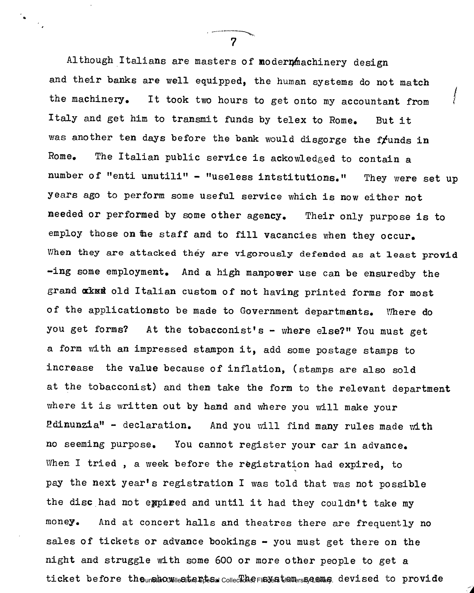Although Italians are masters of modern machinery design and their banks are well equipped, the human systems do not match / the machinery. It took two hours to get onto my accountant from Italy and get him to transmit funds by telex to Rome. But it was another ten days before the bank would disgorge the frunds in Rome. The Italian public service is ackowledged to contain a number of "enti unutili" - "useless intstitutions." They were set up years ago to perform some useful service which is now either not needed or performed by some other agency. Their only purpose is to employ those on the staff and to fill vacancies when they occur. When they are attacked they are vigorously defended as at least provid -ing some employment. And a high manpower use can be ensuredby the grand aked old Italian custom of not having printed forms for most of the applicationsto be made to Government departments. Where do you get forms? At the tobacconist's - where else?" You must get a form with an impressed stampon it, add some postage stamps to increase the value because of inflation, (stamps are also sold at the tobacconist) and then take the form to the relevant department where it is written out by hand and where you will make your Pdinunzia" - declaration. And you will find many rules made with no seeming purpose. You cannot register your car in advance. When I tried, a week before the registration had expired, to pay the next year's registration I was told that was not possible the disc had not expired and until it had they couldn't take my money. And at concert halls and theatres there are frequently no sales of tickets or advance bookings  $-$  you must get there on the sales of tickets or advance bookings - you must get there on the night and struggle with some 600 or more other people to get a ticket before the unstan Collections, FIFNS Examples and Servised to provide

ticket before the show starts. The system seems devised to provide

7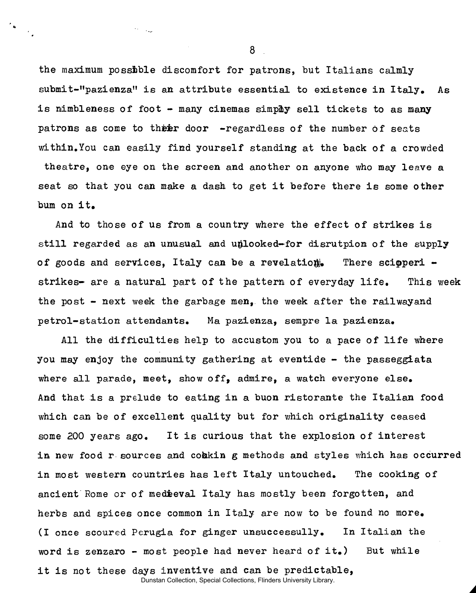the maximum possible discomfort for patrons, but Italians calmly submit-"pazienza" is an attribute essential to existence in Italy. As is nimbleness of foot - many cinemas simply sell tickets to as many patrons as come to their door  $-$ regardless of the number of seats within. You can easily find yourself standing at the back of a crowded theatre, one eye on the screen and another on anyone who may leave a seat so that you can make a dash to get it before there is some other bum on it.

And to those of us from a country where the effect of strikes is still regarded as an unusual and unlooked-for disrutpion of the supply of goods and services, Italy can be a revelation. There scipperi strikes- are a natural part of the pattern of everyday life. This week the post - next week the garbage men, the week after the railwayand petrol-station attendants. Ma pazienza, sempre la pazienza.

All the difficulties help to accustom you to a pace of life where you may enjoy the community gathering at eventide - the passeggiata where all parade, meet, show off, admire, a watch everyone else. And that is a prelude to eating in a buon ristorante the Italian food which can be of excellent quality but for which originality ceased some 200 years ago. It is curious that the explosion of interest in new food r sources and coakin g methods and styles which has occurred in most western countries has left Italy untouched. The cooking of ancient Rome or of medieval Italy has mostly been forgotten, and herbs and spices once common in Italy are now to be found no more. (I once scoured Perugia for ginger unsuccessully. In Italian the word is zenzaro - most people had never heard of it.) But while it is not these days inventive and can be predictable,

Dunstan Collection, Special Collections, Flinders University Library.

8

 $\sim 10^{11}$